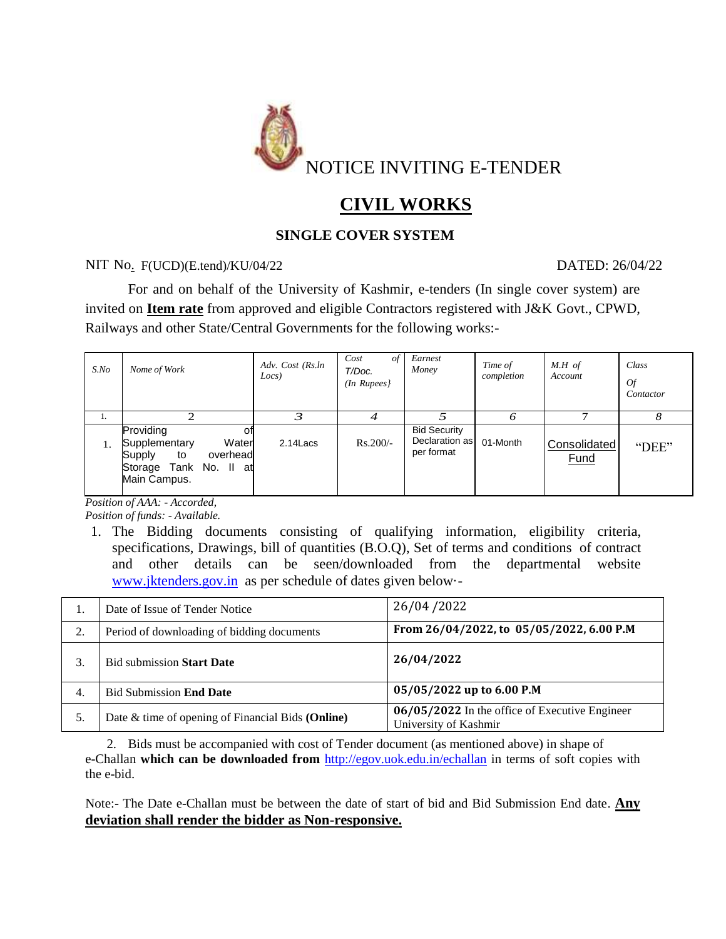

# **CIVIL WORKS**

# **SINGLE COVER SYSTEM**

## NIT No. F(UCD)(E.tend)/KU/04/22 DATED: 26/04/22

For and on behalf of the University of Kashmir, e-tenders (In single cover system) are invited on **Item rate** from approved and eligible Contractors registered with J&K Govt., CPWD, Railways and other State/Central Governments for the following works:-

| $S$ .No | Nome of Work                                                                                                    | Adv. Cost (Rs.ln<br>Locs) | Cost<br>of<br>T/Doc.<br>$(In$ Rupees $)$ | Earnest<br>Money                                    | Time of<br>completion | $M.H$ of<br>Account         | Class<br><b>Of</b><br>Contactor |
|---------|-----------------------------------------------------------------------------------------------------------------|---------------------------|------------------------------------------|-----------------------------------------------------|-----------------------|-----------------------------|---------------------------------|
|         |                                                                                                                 |                           |                                          |                                                     |                       |                             |                                 |
|         | Providing<br>οt<br>Water<br>Supplementary<br>Supply<br>overhead<br>to<br>Storage Tank No. II at<br>Main Campus. | $2.14$ Lacs               | $Rs.200/-$                               | <b>Bid Security</b><br>Declaration as<br>per format | 01-Month              | Consolidated<br><b>Fund</b> | "DEE"                           |

*Position of AAA: - Accorded,* 

*Position of funds: - Available.*

1. The Bidding documents consisting of qualifying information, eligibility criteria, specifications, Drawings, bill of quantities (B.O.Q), Set of terms and conditions of contract and other details can be seen/downloaded from the departmental website [www.jktenders.gov.in](http://www.jktenders.gov.in/) as per schedule of dates given below·-

|    | Date of Issue of Tender Notice                    | 26/04/2022                                                              |
|----|---------------------------------------------------|-------------------------------------------------------------------------|
| 2. | Period of downloading of bidding documents        | From 26/04/2022, to 05/05/2022, 6.00 P.M                                |
|    | <b>Bid submission Start Date</b>                  | 26/04/2022                                                              |
| 4. | <b>Bid Submission End Date</b>                    | 05/05/2022 up to 6.00 P.M                                               |
| 5. | Date & time of opening of Financial Bids (Online) | 06/05/2022 In the office of Executive Engineer<br>University of Kashmir |

2. Bids must be accompanied with cost of Tender document (as mentioned above) in shape of e-Challan **which can be downloaded from** <http://egov.uok.edu.in/echallan> in terms of soft copies with the e-bid.

Note:- The Date e-Challan must be between the date of start of bid and Bid Submission End date. **Any deviation shall render the bidder as Non-responsive.**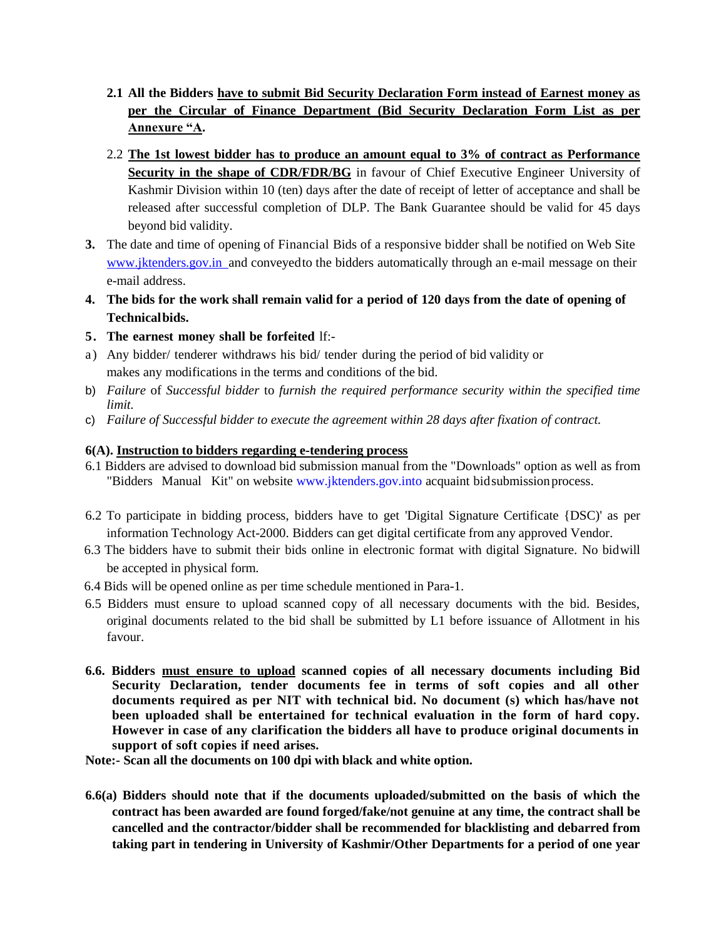- **2.1 All the Bidders have to submit Bid Security Declaration Form instead of Earnest money as per the Circular of Finance Department (Bid Security Declaration Form List as per Annexure "A.**
- 2.2 **The 1st lowest bidder has to produce an amount equal to 3% of contract as Performance Security in the shape of CDR/FDR/BG** in favour of Chief Executive Engineer University of Kashmir Division within 10 (ten) days after the date of receipt of letter of acceptance and shall be released after successful completion of DLP. The Bank Guarantee should be valid for 45 days beyond bid validity.
- **3.** The date and time of opening of Financial Bids of a responsive bidder shall be notified on Web Site www.jktenders.gov.in and conveyed to the bidders automatically through an e-mail message on their e-mail address.
- 4. The bids for the work shall remain valid for a period of 120 days from the date of opening of **Technical bids.**
- **5. The earnest money shall be forfeited** lf:-
- a) Any bidder/ tenderer withdraws his bid/ tender during the period of bid validity or makes any modifications in the terms and conditions of the bid.
- b) *Failure* of *Successful bidder* to *furnish the required performance security within the specified time limit.*
- c) *Failure of Successful bidder to execute the agreement within 28 days after fixation of contract.*

#### **6(A). Instruction to bidders regarding e-tendering process**

- 6.1 Bidders are advised to download bid submission manual from the "Downloads" option as well as from "Bidders Manual Kit" on website [www.jktenders.gov.into](http://www.jktenders.gov.into/) acquaint bid submission process.
- 6.2 To participate in bidding process, bidders have to get 'Digital Signature Certificate {DSC)' as per information Technology Act-2000. Bidders can get digital certificate from any approved Vendor.
- 6.3 The bidders have to submit their bids online in electronic format with digital Signature. No bidwill be accepted in physical form.
- 6.4 Bids will be opened online as per time schedule mentioned in Para-1.
- 6.5 Bidders must ensure to upload scanned copy of all necessary documents with the bid. Besides, original documents related to the bid shall be submitted by L1 before issuance of Allotment in his favour.
- **6.6. Bidders must ensure to upload scanned copies of all necessary documents including Bid Security Declaration, tender documents fee in terms of soft copies and all other documents required as per NIT with technical bid. No document (s) which has/have not been uploaded shall be entertained for technical evaluation in the form of hard copy. However in case of any clarification the bidders all have to produce original documents in support of soft copies if need arises.**

**Note:- Scan all the documents on 100 dpi with black and white option.**

**6.6(a) Bidders should note that if the documents uploaded/submitted on the basis of which the contract has been awarded are found forged/fake/not genuine at any time, the contract shall be cancelled and the contractor/bidder shall be recommended for blacklisting and debarred from taking part in tendering in University of Kashmir/Other Departments for a period of one year**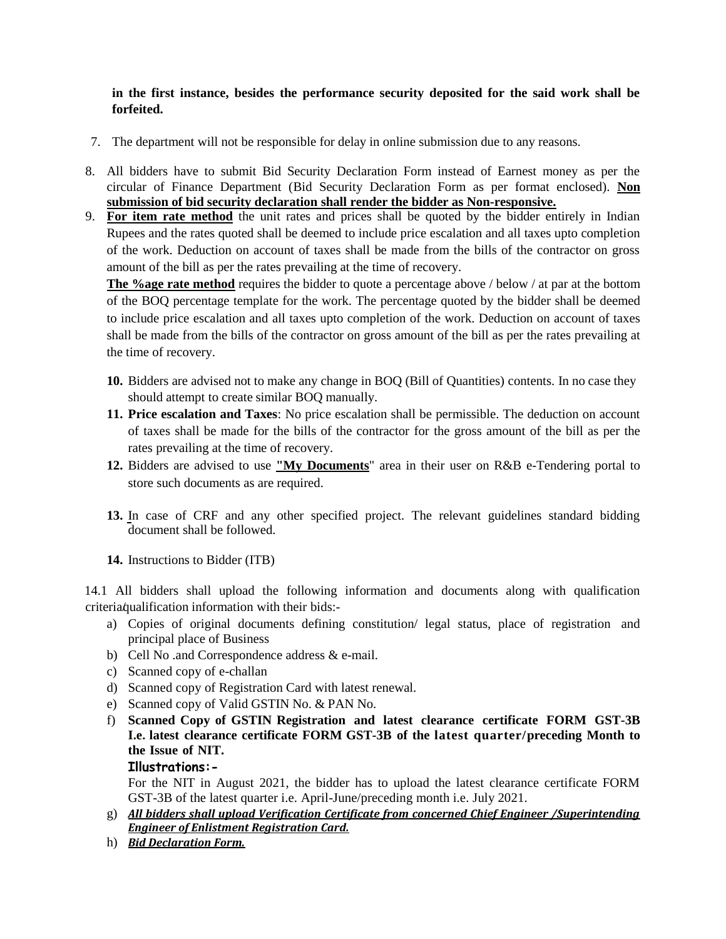#### **in the first instance, besides the performance security deposited for the said work shall be forfeited.**

- 7. The department will not be responsible for delay in online submission due to any reasons.
- 8. All bidders have to submit Bid Security Declaration Form instead of Earnest money as per the circular of Finance Department (Bid Security Declaration Form as per format enclosed). **Non submission of bid security declaration shall render the bidder as Non-responsive.**
- 9. **For item rate method** the unit rates and prices shall be quoted by the bidder entirely in Indian Rupees and the rates quoted shall be deemed to include price escalation and all taxes upto completion of the work. Deduction on account of taxes shall be made from the bills of the contractor on gross amount of the bill as per the rates prevailing at the time of recovery.

**The %age rate method** requires the bidder to quote a percentage above / below / at par at the bottom of the BOQ percentage template for the work. The percentage quoted by the bidder shall be deemed to include price escalation and all taxes upto completion of the work. Deduction on account of taxes shall be made from the bills of the contractor on gross amount of the bill as per the rates prevailing at the time of recovery.

- **10.** Bidders are advised not to make any change in BOQ (Bill of Quantities) contents. In no case they should attempt to create similar BOQ manually.
- **11. Price escalation and Taxes**: No price escalation shall be permissible. The deduction on account of taxes shall be made for the bills of the contractor for the gross amount of the bill as per the rates prevailing at the time of recovery.
- **12.** Bidders are advised to use **"My Documents**" area in their user on R&B e-Tendering portal to store such documents as are required.
- **13.** In case of CRF and any other specified project. The relevant guidelines standard bidding document shall be followed.
- **14.** Instructions to Bidder (ITB)

14.1 All bidders shall upload the following information and documents along with qualification criteria qualification information with their bids:-

- a) Copies of original documents defining constitution/ legal status, place of registration and principal place of Business
- b) Cell No .and Correspondence address & e-mail.
- c) Scanned copy of e-challan
- d) Scanned copy of Registration Card with latest renewal.
- e) Scanned copy of Valid GSTIN No. & PAN No.
- f) **Scanned Copy of GSTIN Registration and latest clearance certificate FORM GST-3B I.e. latest clearance certificate FORM GST-3B of the latest quarter/preceding Month to the Issue of NIT.**

#### **Illustrations:-**

For the NIT in August 2021, the bidder has to upload the latest clearance certificate FORM GST-3B of the latest quarter i.e. April-June/preceding month i.e. July 2021.

- g) *All bidders shall upload Verification Certificate from concerned Chief Engineer /Superintending Engineer of Enlistment Registration Card.*
- h) *Bid Declaration Form.*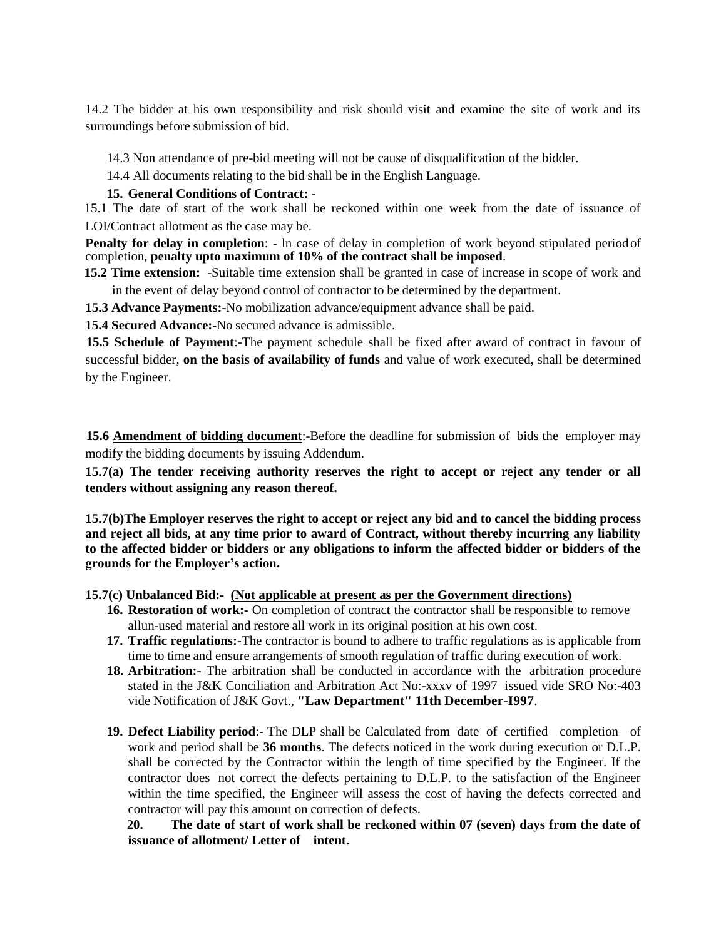14.2 The bidder at his own responsibility and risk should visit and examine the site of work and its surroundings before submission of bid.

14.3 Non attendance of pre-bid meeting will not be cause of disqualification of the bidder.

14.4 All documents relating to the bid shall be in the English Language.

#### **15. General Conditions of Contract: -**

15.1 The date of start of the work shall be reckoned within one week from the date of issuance of LOI/Contract allotment as the case may be.

**Penalty for delay in completion**: - In case of delay in completion of work beyond stipulated period of completion, **penalty upto maximum of 10% of the contract shall be imposed**.

**15.2 Time extension:** -Suitable time extension shall be granted in case of increase in scope of work and in the event of delay beyond control of contractor to be determined by the department.

**15.3 Advance Payments:-**No mobilization advance/equipment advance shall be paid.

**15.4 Secured Advance:-**No secured advance is admissible.

**15.5 Schedule of Payment**:-The payment schedule shall be fixed after award of contract in favour of successful bidder, **on the basis of availability of funds** and value of work executed, shall be determined by the Engineer.

**15.6 Amendment of bidding document**:-Before the deadline for submission of bids the employer may modify the bidding documents by issuing Addendum.

**15.7(a) The tender receiving authority reserves the right to accept or reject any tender or all tenders without assigning any reason thereof.**

**15.7(b)The Employer reserves the right to accept or reject any bid and to cancel the bidding process and reject all bids, at any time prior to award of Contract, without thereby incurring any liability to the affected bidder or bidders or any obligations to inform the affected bidder or bidders of the grounds for the Employer's action.**

**15.7(c) Unbalanced Bid:- (Not applicable at present as per the Government directions)**

- 16. **Restoration of work:-** On completion of contract the contractor shall be responsible to remove allun-used material and restore all work in its original position at his own cost.
- **17. Traffic regulations:-**The contractor is bound to adhere to traffic regulations as is applicable from time to time and ensure arrangements of smooth regulation of traffic during execution of work.
- **18. Arbitration:-** The arbitration shall be conducted in accordance with the arbitration procedure stated in the J&K Conciliation and Arbitration Act No:-xxxv of 1997 issued vide SRO No:-403 vide Notification of J&K Govt., **"Law Department" 11th December-I997**.
- **19. Defect Liability period**:- The DLP shall be Calculated from date of certified completion of work and period shall be **36 months**. The defects noticed in the work during execution or D.L.P. shall be corrected by the Contractor within the length of time specified by the Engineer. If the contractor does not correct the defects pertaining to D.L.P. to the satisfaction of the Engineer within the time specified, the Engineer will assess the cost of having the defects corrected and contractor will pay this amount on correction of defects.

**20. The date of start of work shall be reckoned within 07 (seven) days from the date of issuance of allotment/ Letter of intent.**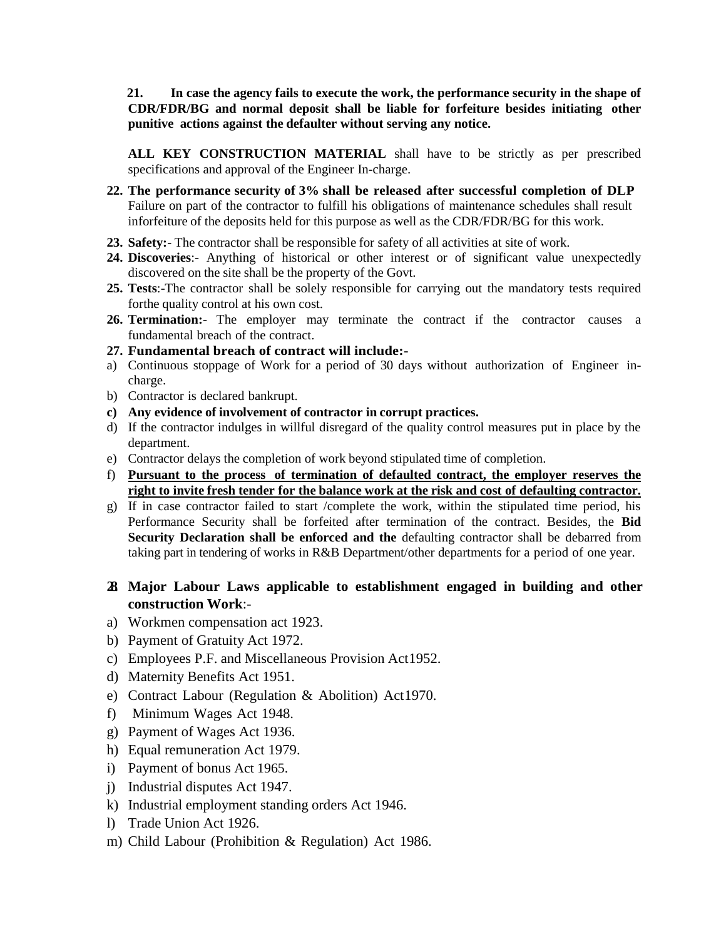**21. In case the agency fails to execute the work, the performance security in the shape of CDR/FDR/BG and normal deposit shall be liable for forfeiture besides initiating other punitive actions against the defaulter without serving any notice.**

**ALL KEY CONSTRUCTION MATERIAL** shall have to be strictly as per prescribed specifications and approval of the Engineer In-charge.

- **22. The performance security of 3% shall be released after successful completion of DLP** Failure on part of the contractor to fulfill his obligations of maintenance schedules shall result inforfeiture of the deposits held for this purpose as well as the CDR/FDR/BG for this work.
- **23. Safety:** The contractor shall be responsible for safety of all activities at site of work.
- **24. Discoveries**:- Anything of historical or other interest or of significant value unexpectedly discovered on the site shall be the property of the Govt.
- **25. Tests**:-The contractor shall be solely responsible for carrying out the mandatory tests required forthe quality control at his own cost.
- 26. **Termination:** The employer may terminate the contract if the contractor causes a fundamental breach of the contract.
- **27. Fundamental breach of contract will include:-**
- a) Continuous stoppage of Work for a period of 30 days without authorization of Engineer incharge.
- b) Contractor is declared bankrupt.
- **c) Any evidence of involvement of contractor in corrupt practices.**
- d) If the contractor indulges in willful disregard of the quality control measures put in place by the department.
- e) Contractor delays the completion of work beyond stipulated time of completion.
- f) **Pursuant to the process of termination of defaulted contract, the employer reserves the right to invite fresh tender for the balance work at the risk and cost of defaulting contractor.**
- g) If in case contractor failed to start /complete the work, within the stipulated time period, his Performance Security shall be forfeited after termination of the contract. Besides, the **Bid Security Declaration shall be enforced and the** defaulting contractor shall be debarred from taking part in tendering of works in R&B Department/other departments for a period of one year.

### **28. Major Labour Laws applicable to establishment engaged in building and other construction Work**:-

- a) Workmen compensation act 1923.
- b) Payment of Gratuity Act 1972.
- c) Employees P.F. and Miscellaneous Provision Act1952.
- d) Maternity Benefits Act 1951.
- e) Contract Labour (Regulation & Abolition) Act1970.
- f) Minimum Wages Act 1948.
- g) Payment of Wages Act 1936.
- h) Equal remuneration Act 1979.
- i) Payment of bonus Act 1965.
- j) Industrial disputes Act 1947.
- k) Industrial employment standing orders Act 1946.
- l) Trade Union Act 1926.
- m) Child Labour (Prohibition & Regulation) Act 1986.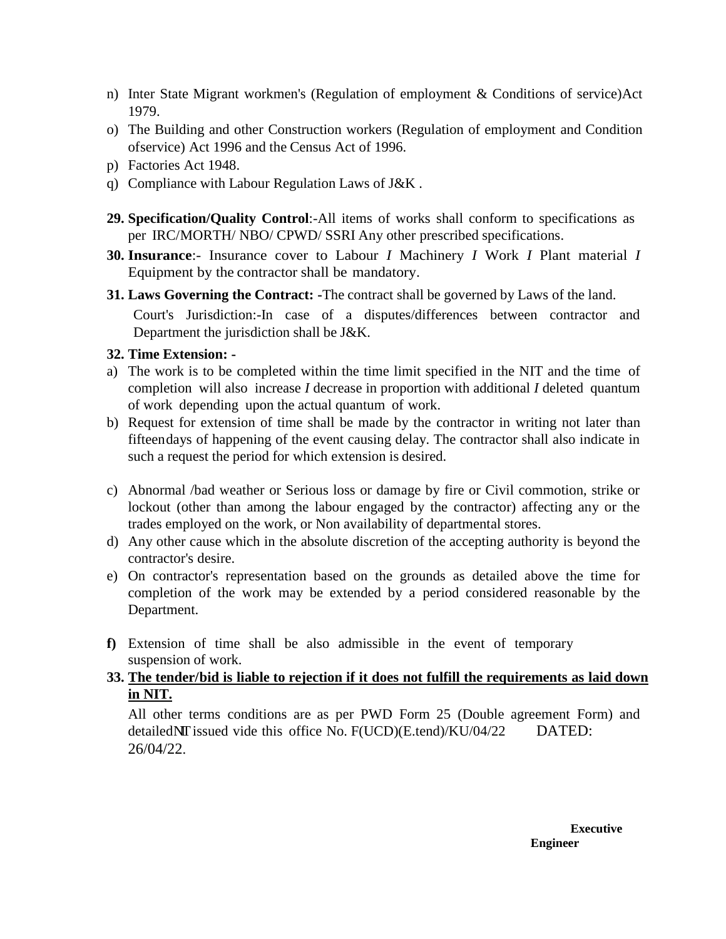- n) Inter State Migrant workmen's (Regulation of employment & Conditions of service)Act 1979.
- o) The Building and other Construction workers (Regulation of employment and Condition ofservice) Act 1996 and the Census Act of 1996.
- p) Factories Act 1948.
- q) Compliance with Labour Regulation Laws of J&K .
- **29. Specification/Quality Control**:-All items of works shall conform to specifications as per IRC/MORTH/ NBO/ CPWD/ SSRI Any other prescribed specifications.
- **30. Insurance**:- Insurance cover to Labour *I* Machinery *I* Work *I* Plant material *I*  Equipment by the contractor shall be mandatory.
- **31. Laws Governing the Contract: -**The contract shall be governed by Laws of the land.

Court's Jurisdiction:-In case of a disputes/differences between contractor and Department the jurisdiction shall be J&K.

# **32. Time Extension: -**

- a) The work is to be completed within the time limit specified in the NIT and the time of completion will also increase *I* decrease in proportion with additional *I* deleted quantum of work depending upon the actual quantum of work.
- b) Request for extension of time shall be made by the contractor in writing not later than fifteendays of happening of the event causing delay. The contractor shall also indicate in such a request the period for which extension is desired.
- c) Abnormal /bad weather or Serious loss or damage by fire or Civil commotion, strike or lockout (other than among the labour engaged by the contractor) affecting any or the trades employed on the work, or Non availability of departmental stores.
- d) Any other cause which in the absolute discretion of the accepting authority is beyond the contractor's desire.
- e) On contractor's representation based on the grounds as detailed above the time for completion of the work may be extended by a period considered reasonable by the Department.
- **f)** Extension of time shall be also admissible in the event of temporary suspension of work.
- **33. The tender/bid is liable to rejection if it does not fulfill the requirements as laid down in NIT.**

All other terms conditions are as per PWD Form 25 (Double agreement Form) and detailed $\text{N}\Gamma$  issued vide this office No.  $F(UCD)(E.tend)/KU/04/22$  DATED: 26/04/22.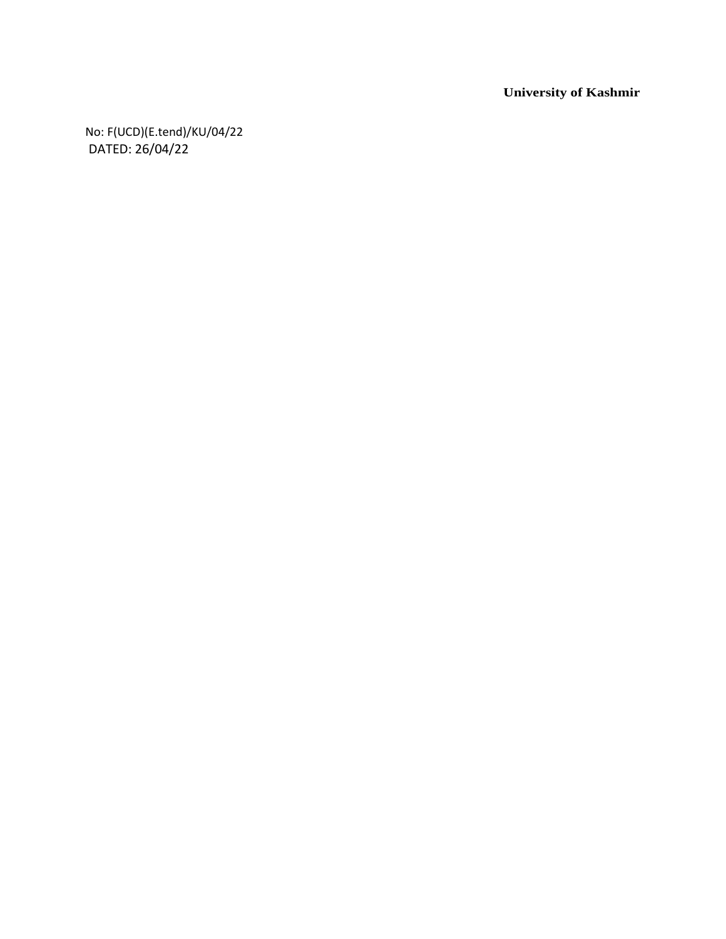**University of Kashmir**

No: F(UCD)(E.tend)/KU/04/22 DATED: 26/04/22